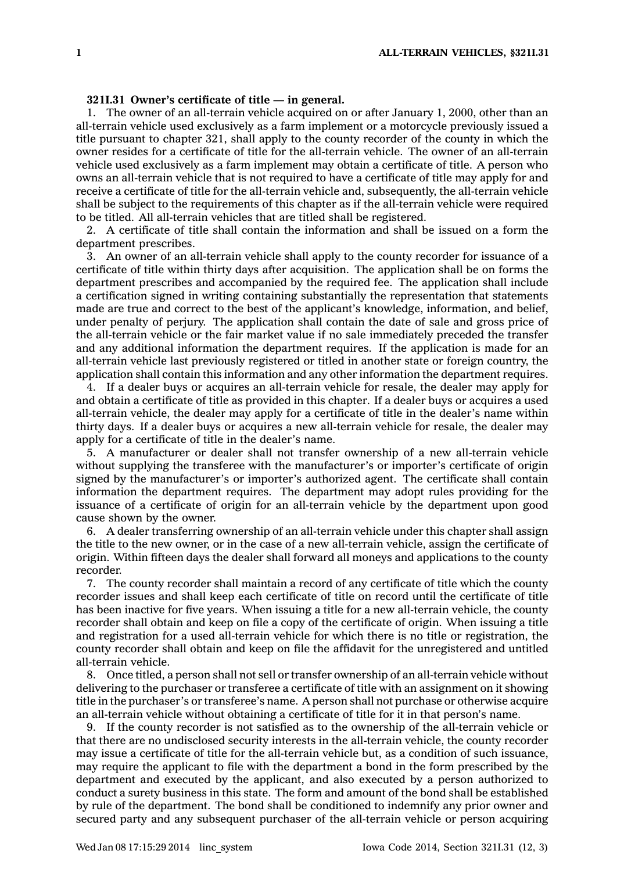## **321I.31 Owner's certificate of title — in general.**

1. The owner of an all-terrain vehicle acquired on or after January 1, 2000, other than an all-terrain vehicle used exclusively as <sup>a</sup> farm implement or <sup>a</sup> motorcycle previously issued <sup>a</sup> title pursuant to chapter 321, shall apply to the county recorder of the county in which the owner resides for <sup>a</sup> certificate of title for the all-terrain vehicle. The owner of an all-terrain vehicle used exclusively as <sup>a</sup> farm implement may obtain <sup>a</sup> certificate of title. A person who owns an all-terrain vehicle that is not required to have <sup>a</sup> certificate of title may apply for and receive <sup>a</sup> certificate of title for the all-terrain vehicle and, subsequently, the all-terrain vehicle shall be subject to the requirements of this chapter as if the all-terrain vehicle were required to be titled. All all-terrain vehicles that are titled shall be registered.

2. A certificate of title shall contain the information and shall be issued on <sup>a</sup> form the department prescribes.

3. An owner of an all-terrain vehicle shall apply to the county recorder for issuance of <sup>a</sup> certificate of title within thirty days after acquisition. The application shall be on forms the department prescribes and accompanied by the required fee. The application shall include <sup>a</sup> certification signed in writing containing substantially the representation that statements made are true and correct to the best of the applicant's knowledge, information, and belief, under penalty of perjury. The application shall contain the date of sale and gross price of the all-terrain vehicle or the fair market value if no sale immediately preceded the transfer and any additional information the department requires. If the application is made for an all-terrain vehicle last previously registered or titled in another state or foreign country, the application shall contain this information and any other information the department requires.

4. If <sup>a</sup> dealer buys or acquires an all-terrain vehicle for resale, the dealer may apply for and obtain <sup>a</sup> certificate of title as provided in this chapter. If <sup>a</sup> dealer buys or acquires <sup>a</sup> used all-terrain vehicle, the dealer may apply for <sup>a</sup> certificate of title in the dealer's name within thirty days. If <sup>a</sup> dealer buys or acquires <sup>a</sup> new all-terrain vehicle for resale, the dealer may apply for <sup>a</sup> certificate of title in the dealer's name.

5. A manufacturer or dealer shall not transfer ownership of <sup>a</sup> new all-terrain vehicle without supplying the transferee with the manufacturer's or importer's certificate of origin signed by the manufacturer's or importer's authorized agent. The certificate shall contain information the department requires. The department may adopt rules providing for the issuance of <sup>a</sup> certificate of origin for an all-terrain vehicle by the department upon good cause shown by the owner.

6. A dealer transferring ownership of an all-terrain vehicle under this chapter shall assign the title to the new owner, or in the case of <sup>a</sup> new all-terrain vehicle, assign the certificate of origin. Within fifteen days the dealer shall forward all moneys and applications to the county recorder.

7. The county recorder shall maintain <sup>a</sup> record of any certificate of title which the county recorder issues and shall keep each certificate of title on record until the certificate of title has been inactive for five years. When issuing <sup>a</sup> title for <sup>a</sup> new all-terrain vehicle, the county recorder shall obtain and keep on file <sup>a</sup> copy of the certificate of origin. When issuing <sup>a</sup> title and registration for <sup>a</sup> used all-terrain vehicle for which there is no title or registration, the county recorder shall obtain and keep on file the affidavit for the unregistered and untitled all-terrain vehicle.

8. Once titled, <sup>a</sup> person shall not sell or transfer ownership of an all-terrain vehicle without delivering to the purchaser or transferee <sup>a</sup> certificate of title with an assignment on it showing title in the purchaser's or transferee's name. A person shall not purchase or otherwise acquire an all-terrain vehicle without obtaining <sup>a</sup> certificate of title for it in that person's name.

9. If the county recorder is not satisfied as to the ownership of the all-terrain vehicle or that there are no undisclosed security interests in the all-terrain vehicle, the county recorder may issue <sup>a</sup> certificate of title for the all-terrain vehicle but, as <sup>a</sup> condition of such issuance, may require the applicant to file with the department <sup>a</sup> bond in the form prescribed by the department and executed by the applicant, and also executed by <sup>a</sup> person authorized to conduct <sup>a</sup> surety business in this state. The form and amount of the bond shall be established by rule of the department. The bond shall be conditioned to indemnify any prior owner and secured party and any subsequent purchaser of the all-terrain vehicle or person acquiring